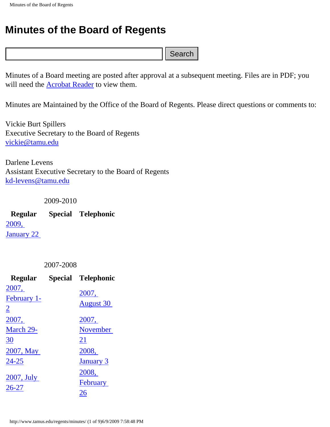## **Minutes of the Board of Regents**

Minutes of a Board meeting are posted after approval at a subsequent meeting. Files are in PDF; you will need the [Acrobat Reader](http://www.adobe.com/products/acrobat/readstep.html) to view them.

Minutes are Maintained by the Office of the Board of Regents. Please direct questions or comments to:

|                                         |           |                                                                                                                     | Search |
|-----------------------------------------|-----------|---------------------------------------------------------------------------------------------------------------------|--------|
|                                         |           | Minutes of a Board meeting are posted after approval at a subs<br>will need the <b>Acrobat Reader</b> to view them. |        |
|                                         |           | Minutes are Maintained by the Office of the Board of Regents                                                        |        |
| Vickie Burt Spillers<br>vickie@tamu.edu |           | <b>Executive Secretary to the Board of Regents</b>                                                                  |        |
| Darlene Levens<br>kd-levens@tamu.edu    |           | <b>Assistant Executive Secretary to the Board of Regents</b>                                                        |        |
|                                         | 2009-2010 |                                                                                                                     |        |
| <u>2009, </u>                           |           | Regular Special Telephonic                                                                                          |        |
| <b>January 22</b>                       |           |                                                                                                                     |        |
|                                         | 2007-2008 |                                                                                                                     |        |
| <b>Regular</b>                          |           | <b>Special Telephonic</b>                                                                                           |        |
| <u>2007, </u>                           |           | 2007,                                                                                                               |        |
| February 1-<br>$\overline{2}$           |           | <b>August 30</b>                                                                                                    |        |
| <u> 2007, </u>                          |           | <u>2007,</u>                                                                                                        |        |
| March 29-                               |           | <b>November</b>                                                                                                     |        |
| <u>30</u>                               |           | <u>21</u>                                                                                                           |        |
| 2007, May                               |           | 2008,                                                                                                               |        |
| <u>24-25</u>                            |           | <u>January 3</u>                                                                                                    |        |
|                                         |           | <u>2008,</u>                                                                                                        |        |
| 2007, July<br><u>26-27</u>              |           | <b>February</b>                                                                                                     |        |
|                                         |           | <u>26</u>                                                                                                           |        |
|                                         |           |                                                                                                                     |        |
|                                         |           | http://www.tamus.edu/regents/minutes/ (1 of 9)6/9/2009 7:58:48 PM                                                   |        |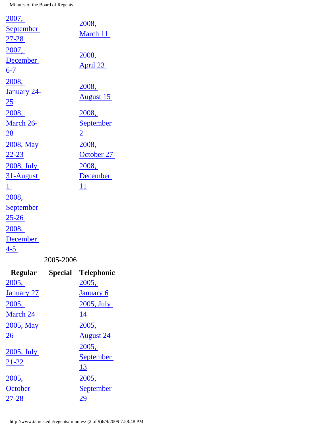| 2007,              |                                           |                  |
|--------------------|-------------------------------------------|------------------|
| <b>September</b>   |                                           | 2008,            |
| $27 - 28$          |                                           | March 11         |
| 2007,              |                                           |                  |
| <b>December</b>    |                                           | 2008,            |
| $6-7$              |                                           | April 23         |
| 2008,              |                                           |                  |
| <b>January 24-</b> |                                           | 2008,            |
| <u> 25</u>         |                                           | <b>August 15</b> |
| 2008,              |                                           | 2008,            |
| March 26-          |                                           | <u>September</u> |
| <u>28</u>          |                                           | $\overline{2}$   |
| 2008, May          |                                           | 2008,            |
| $22 - 23$          |                                           | October 27       |
| 2008, July         |                                           | 2008,            |
| 31-August          |                                           | <b>December</b>  |
| $\perp$            |                                           | 11               |
| 2008,              |                                           |                  |
| <b>September</b>   |                                           |                  |
| <u>25-26 </u>      |                                           |                  |
| 2008,              |                                           |                  |
| December           |                                           |                  |
| $4 - 5$            |                                           |                  |
|                    | $\mathbf{a}\mathbf{a}$<br>$\Delta \Omega$ |                  |

## 2005-2006

| <b>Regular</b>    | Special | <b>Telephonic</b> |
|-------------------|---------|-------------------|
| 2005,             |         | 2005,             |
| <b>January 27</b> |         | <b>January 6</b>  |
| 2005,             |         | 2005, July        |
| March 24          |         | 14                |
| 2005, May         |         | 2005,             |
| <u>26</u>         |         | <b>August</b> 24  |
|                   |         | 2005,             |
| 2005, July        |         | September         |
| 21-22             |         | 13                |
| 2005,             |         | 2005,             |
| October           |         | September         |
| 27-28             |         | 29                |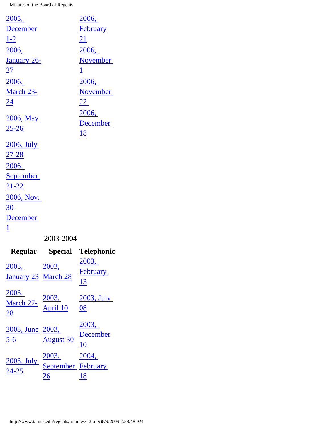| <u>2005,</u>       |           | 2006,           |
|--------------------|-----------|-----------------|
| <b>December</b>    |           | February        |
| <u>1-2</u>         |           | 21              |
| 2006,              |           | 2006,           |
| <u>January 26-</u> |           | <b>November</b> |
| <u> 27</u>         |           | $\overline{1}$  |
| 2006,              |           | 2006,           |
| March 23-          |           | <b>November</b> |
| <u>24</u>          |           | 22              |
|                    |           | 2006,           |
| 2006, May          |           | December        |
| $25 - 26$          |           | <u>18</u>       |
| 2006, July         |           |                 |
| <u>27-28</u>       |           |                 |
| 2006,              |           |                 |
| <b>September</b>   |           |                 |
| <u>21-22</u>       |           |                 |
| 2006, Nov.         |           |                 |
| $30-$              |           |                 |
| December           |           |                 |
| $\underline{1}$    |           |                 |
|                    | 2003-2004 |                 |

|                              | Regular Special                   | <b>Telephonic</b>       |
|------------------------------|-----------------------------------|-------------------------|
| 2003,<br>January 23 March 28 | 2003,                             | 2003,<br>February<br>13 |
| 2003,<br>March 27-<br>28     | <u>2003,</u><br>April 10          | $2003$ , July<br>08     |
| 2003, June 2003,<br>$5 - 6$  | <b>August</b> 30                  | 2003,<br>December<br>10 |
| $2003$ , July<br>24-25       | 2003,<br>September February<br>26 | 2004,<br>18             |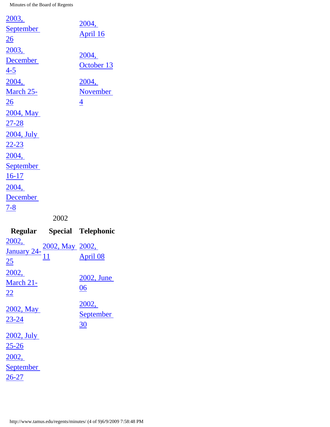| 2003,            |                          |
|------------------|--------------------------|
| <b>September</b> | 2004,                    |
| $\overline{26}$  | April 16                 |
| 2003,            |                          |
| December         | 2004,                    |
| <u>4-5</u>       | October 13               |
| 2004,            | 2004,                    |
| March 25-        | <b>November</b>          |
| <u> 26</u>       | $\overline{\mathcal{A}}$ |
| 2004, May        |                          |
| <u>27-28</u>     |                          |
| 2004, July       |                          |
| <u>22-23</u>     |                          |
| 2004,            |                          |
| <b>September</b> |                          |
| $16-17$          |                          |
| 2004,            |                          |
| December         |                          |
| $7 - 8$          |                          |
|                  | 2002                     |

|                                                           | Regular Special Telephonic      |
|-----------------------------------------------------------|---------------------------------|
| January 24- $\frac{2002}{11}$ May 2002,<br>25             | April 08                        |
| 2002,<br>March 21-<br>22                                  | 2002, June<br>06                |
| 2002, May<br>23-24                                        | 2002,<br><b>September</b><br>30 |
| 2002, July<br>25-26<br>2002,<br><b>September</b><br>26-27 |                                 |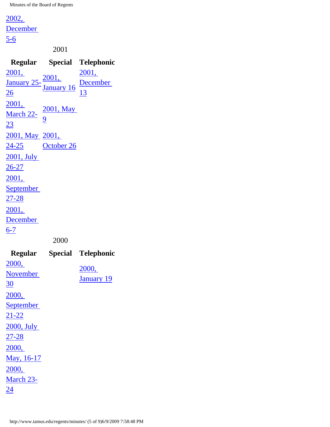[2002,](http://www.tamus.edu/regents/minutes/Regular/2002/2002-12-05-06.pdf)

**December** 

[5-6](http://www.tamus.edu/regents/minutes/Regular/2002/2002-12-05-06.pdf)

2001

**Regular Special Telephonic** [2001,](http://www.tamus.edu/regents/minutes/Regular/2001/2001-01-25-26.pdf) [January 25-](http://www.tamus.edu/regents/minutes/Regular/2001/2001-01-25-26.pdf) [26](http://www.tamus.edu/regents/minutes/Regular/2001/2001-01-25-26.pdf) [2001,](http://www.tamus.edu/regents/minutes/Special/2001/2001-01-16.pdf)  [January 16](http://www.tamus.edu/regents/minutes/Special/2001/2001-01-16.pdf) [2001,](http://www.tamus.edu/regents/minutes/Telephonic/2001/2001-12-13.pdf)  [December](http://www.tamus.edu/regents/minutes/Telephonic/2001/2001-12-13.pdf)  [13](http://www.tamus.edu/regents/minutes/Telephonic/2001/2001-12-13.pdf) [2001,](http://www.tamus.edu/regents/minutes/Regular/2001/2001-03-22-23.pdf) [March 22-](http://www.tamus.edu/regents/minutes/Regular/2001/2001-03-22-23.pdf) [23](http://www.tamus.edu/regents/minutes/Regular/2001/2001-03-22-23.pdf) [2001, May](http://www.tamus.edu/regents/minutes/Special/2001/2001-05-09.pdf)  [9](http://www.tamus.edu/regents/minutes/Special/2001/2001-05-09.pdf) [2001, May](http://www.tamus.edu/regents/minutes/Regular/2001/2001-05-24-25.pdf)  [2001,](http://www.tamus.edu/regents/minutes/Special/2001/2001-10-26.pdf)  [24-25](http://www.tamus.edu/regents/minutes/Regular/2001/2001-05-24-25.pdf) [October 26](http://www.tamus.edu/regents/minutes/Special/2001/2001-10-26.pdf) [2001, July](http://www.tamus.edu/regents/minutes/Regular/2001/2001-07-26-27.pdf) [26-27](http://www.tamus.edu/regents/minutes/Regular/2001/2001-07-26-27.pdf) [2001,](http://www.tamus.edu/regents/minutes/Regular/2001/2001-09-27-28.pdf) **September** [27-28](http://www.tamus.edu/regents/minutes/Regular/2001/2001-09-27-28.pdf) [2001,](http://www.tamus.edu/regents/minutes/Regular/2001/2001-12-06-07.pdf) **December**  $6 - 7$ 2000 **Regular Special Telephonic**

|                  | $\sim$ P | $\sim$ $\sim$ $\sim$ $\sim$ $\sim$ $\sim$ |
|------------------|----------|-------------------------------------------|
| 2000,            |          |                                           |
| November         |          | 2000,                                     |
| <u>30</u>        |          | <b>January 19</b>                         |
| 2000,            |          |                                           |
| <b>September</b> |          |                                           |
| $21 - 22$        |          |                                           |
| 2000, July       |          |                                           |
| $27 - 28$        |          |                                           |
| 2000,            |          |                                           |
| May, 16-17       |          |                                           |
| 2000,            |          |                                           |
| March 23-        |          |                                           |
| 24               |          |                                           |
|                  |          |                                           |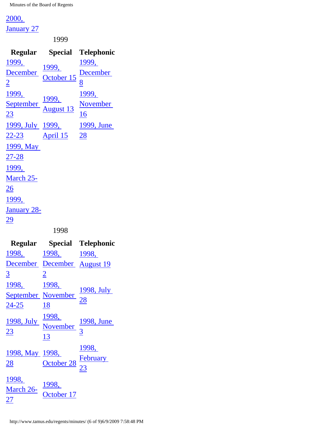## [2000,](http://www.tamus.edu/regents/minutes/Regular/2000/2000-01-27.pdf)

[January 27](http://www.tamus.edu/regents/minutes/Regular/2000/2000-01-27.pdf)

1999

|                  |                            | Regular Special Telephonic |
|------------------|----------------------------|----------------------------|
| <u>1999,</u>     |                            | <u>1999, </u>              |
| <b>December</b>  | <u>1999,</u><br>October 15 | December                   |
| $\overline{2}$   |                            | 8                          |
| <u>1999, </u>    |                            | <u>1999,</u>               |
| September        | <u>1999, August 13</u>     | November                   |
| $\overline{23}$  |                            | <u>16</u>                  |
| 1999, July 1999, |                            | 1999, June                 |
|                  | <u>22-23 April 15 28</u>   |                            |
| 1999, May        |                            |                            |
| <u>27-28</u>     |                            |                            |
| 1999,            |                            |                            |
| March 25-        |                            |                            |
| <u> 26</u>       |                            |                            |
| 1999,            |                            |                            |
| January 28-      |                            |                            |
| <u> 29</u>       |                            |                            |
|                  | 1998                       |                            |

|                                                    |                                                                                        | Regular Special Telephonic |
|----------------------------------------------------|----------------------------------------------------------------------------------------|----------------------------|
|                                                    | 1998, 1998, 1998,                                                                      |                            |
|                                                    | December December August 19                                                            |                            |
| $\overline{3}$                                     | $\overline{2}$                                                                         |                            |
| 1998, 1998,                                        |                                                                                        |                            |
|                                                    | September November $\frac{1998, \text{July}}{24.25}$                                   |                            |
| 24-25                                              | 18                                                                                     |                            |
|                                                    | $\frac{1998}{23}$ July $\frac{1998}{12}$ $\frac{1998}{12}$ $\frac{1998}{3}$ June<br>13 |                            |
| 1998, May 1998,<br>28                              | $\frac{1296}{\text{October 28}}$ $\frac{\text{February}}{23}$                          | <u>1998,</u>               |
| 1998,<br>March 26- $\frac{1998}{25}$<br><u> 27</u> | October 17                                                                             |                            |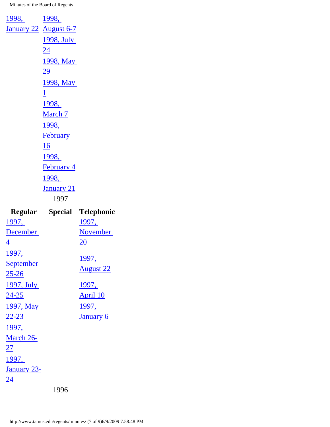|                     | Dogular Special Tolon |  |
|---------------------|-----------------------|--|
|                     | 1997                  |  |
|                     | <b>January 21</b>     |  |
|                     | 1998,                 |  |
|                     | <b>February 4</b>     |  |
|                     | <u>1998, </u>         |  |
|                     | 16                    |  |
|                     | <b>February</b>       |  |
|                     | 1998,                 |  |
|                     | <b>March 7</b>        |  |
|                     | 1998,                 |  |
|                     | $\overline{1}$        |  |
|                     | 1998, May             |  |
|                     | <u>29</u>             |  |
|                     | 1998, May             |  |
|                     | <u>24</u>             |  |
|                     | 1998, July            |  |
|                     | January 22 August 6-7 |  |
| <u>1998, 1998, </u> |                       |  |

|                  |      | Regular Special Telephonic |
|------------------|------|----------------------------|
| <u> 1997, </u>   |      | <u>1997,</u>               |
| <b>December</b>  |      | November                   |
| $\overline{4}$   |      | 20                         |
| <u>1997,</u>     |      | <u>1997,</u>               |
| <b>September</b> |      |                            |
| $25 - 26$        |      | <b>August 22</b>           |
| 1997, July       |      | 1997,                      |
| $24 - 25$        |      | <b>April 10</b>            |
| 1997, May        |      | 1997,                      |
| <u>22-23</u>     |      | January 6                  |
| 1997,            |      |                            |
| March 26-        |      |                            |
| <u> 27</u>       |      |                            |
| 1997,            |      |                            |
| January 23-      |      |                            |
| <u>24</u>        |      |                            |
|                  | 1996 |                            |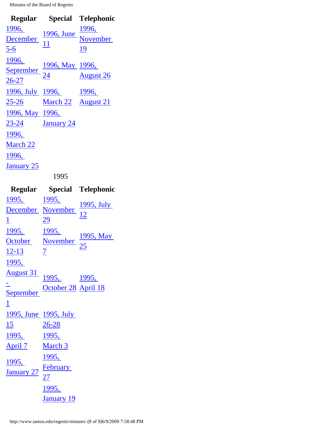|                         |                                                                             | Regular Special Telephonic |  |
|-------------------------|-----------------------------------------------------------------------------|----------------------------|--|
|                         | $\frac{\frac{2220}{1996}}{\frac{56}{11}}$ $\frac{1996}{11}$ November        |                            |  |
|                         |                                                                             |                            |  |
| $\frac{5-6}{2}$         |                                                                             | 19                         |  |
| 1996,                   |                                                                             |                            |  |
|                         | <u>September</u> $\frac{1996}{24}$ May 1996,<br>$\frac{3996}{24}$ August 26 |                            |  |
| $26 - 27$               |                                                                             |                            |  |
|                         | <u>1996, July 1996, 1996, </u>                                              |                            |  |
|                         | 25-26 March 22 August 21                                                    |                            |  |
| 1996, May 1996,         |                                                                             |                            |  |
| 23-24 <b>January 24</b> |                                                                             |                            |  |
| 1996,                   |                                                                             |                            |  |
| <b>March 22</b>         |                                                                             |                            |  |
| 1996,                   |                                                                             |                            |  |
| <b>January 25</b>       |                                                                             |                            |  |
| 1995                    |                                                                             |                            |  |

|                                            |                               | Regular Special Telephonic                                                      |
|--------------------------------------------|-------------------------------|---------------------------------------------------------------------------------|
|                                            |                               | $\frac{1995}{\text{December}}$ $\frac{1995}{\text{November}}$ $\frac{1995}{12}$ |
|                                            |                               |                                                                                 |
| $\overline{1}$                             | 29                            |                                                                                 |
| 1995, 1995,                                |                               |                                                                                 |
|                                            |                               | $\frac{1995}{\text{October}}$ $\frac{1995}{\text{November}}$ $\frac{1995}{25}$  |
| $12 - 13$                                  | $\sqrt{2}$                    |                                                                                 |
| <u>1995,</u>                               |                               |                                                                                 |
|                                            | <u>August 31</u> 1995, 1995,  |                                                                                 |
|                                            |                               |                                                                                 |
|                                            | September October 28 April 18 |                                                                                 |
| $\overline{1}$                             |                               |                                                                                 |
| 1995, June 1995, July                      |                               |                                                                                 |
| $26-28$<br>15                              |                               |                                                                                 |
| 1995, 1995,                                |                               |                                                                                 |
| April 7 March 3                            |                               |                                                                                 |
|                                            | 1995,                         |                                                                                 |
|                                            |                               |                                                                                 |
| $\frac{1995}{\text{January } 27}$ February |                               |                                                                                 |
|                                            | 1995,                         |                                                                                 |
|                                            | <b>January 19</b>             |                                                                                 |